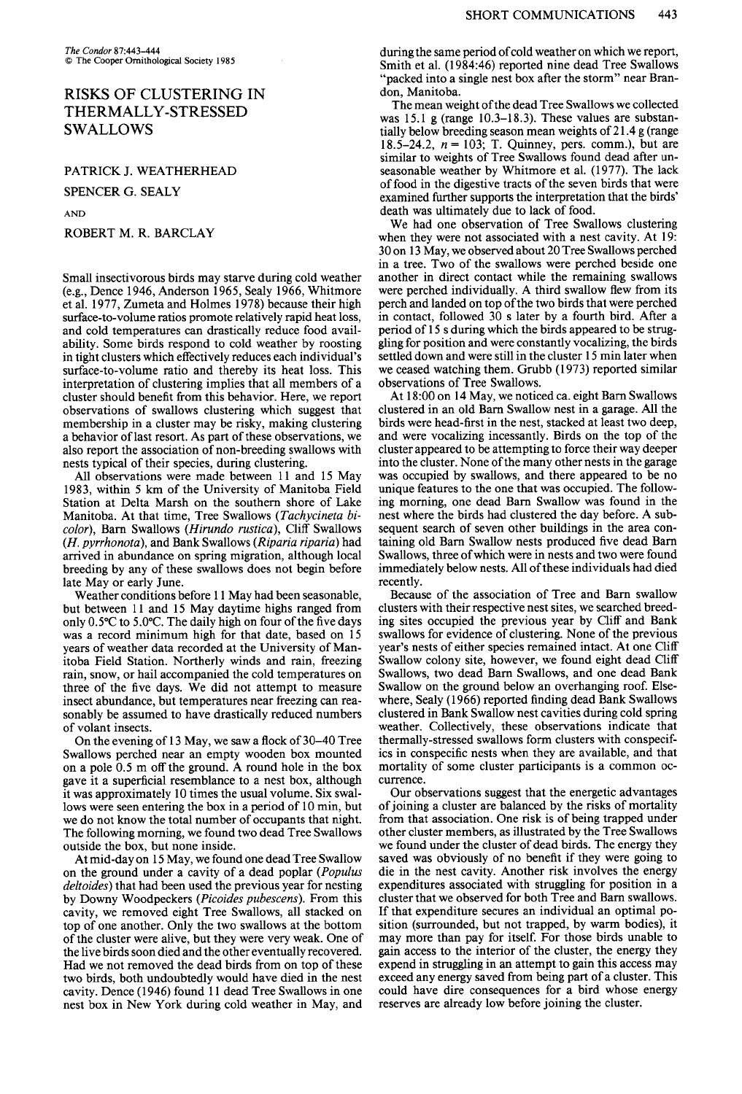# **RISKS OF CLUSTERING IN THERMALLY-STRESSED SWALLOWS**

**PATRICK J. WEATHERHEAD** 

**AND** 

### **ROBERT M. R. BARCLAY**

**Small insectivorous birds may starve during cold weather (e.g., Dence 1946, Anderson 1965, Sealy 1966, Whitmore et al. 1977, Zumeta and Holmes 1978) because their high surface-to-volume ratios promote relatively rapid heat loss, and cold temperatures can drastically reduce food availability. Some birds respond to cold weather by roosting in tight clusters which effectively reduces each individual's surface-to-volume ratio and thereby its heat loss. This interpretation of clustering implies that all members of a cluster should benefit from this behavior. Here, we report observations of swallows clustering which suggest that membership in a cluster may be risky, making clustering a behavior of last resort. As part of these observations, we also report the association of non-breeding swallows with nests typical of their species, during clustering.** 

**All observations were made between 11 and 15 May 1983, within 5 km of the University of Manitoba Field Station at Delta Marsh on the southern shore of Lake Manitoba. At that time, Tree Swallows (Tachycineta bicolor), Barn Swallows (Hirundo rustica), Cliff Swallows (H. pyrrhonota), and Bank Swallows (Riparia riparia) had arrived in abundance on spring migration, although local breeding by any of these swallows does not begin before late May or early June.** 

**Weather conditions before 11 May had been seasonable, but between 11 and 15 May daytime highs ranged from only 0.5"C to 5.O"C. The daily high on four ofthe five days was a record minimum high for that date, based on 15 years of weather data recorded at the University of Manitoba Field Station. Northerly winds and rain, freezing rain, snow, or hail accompanied the cold temperatures on three of the five days. We did not attempt to measure insect abundance, but temperatures near freezing can reasonably be assumed to have drastically reduced numbers of volant insects.** 

**On the evening of 13 May, we saw a flock of 30-40 Tree Swallows perched near an empty wooden box mounted on a pole 0.5 m off the ground. A round hole in the box gave it a superficial resemblance to a nest box, although it was approximately 10 times the usual volume. Six swallows were seen entering the box in a period of 10 min, but we do not know the total number of occupants that night. The following momina, we found two dead Tree Swallows outside the box, but none inside.** 

**At mid-day on 15 May, we found one dead Tree Swallow on the ground under a cavity of a dead poplar (Populus deltoides) that had been used the previous year for nesting by Downy Woodpeckers (Picoides pubescens). From this cavity, we removed eight Tree Swallows, all stacked on top of one another. Only the two swallows at the bottom of the cluster were alive, but they were very weak. One of the live birds soon died and the other eventually recovered. Had we not removed the dead birds from on top of these two birds, both undoubtedly would have died in the nest cavity. Dence (1946) found 11 dead Tree Swallows in one nest box in New York during cold weather in May, and** 

**during the same period of cold weather on which we report, Smith et al. (1984:46) reported nine dead Tree Swallows "packed into a single nest box after the storm" near Brandon, Manitoba.** 

**The mean weight of the dead Tree Swallows we collected was 15.1 g (range 10.3-18.3). These values are substantially below breeding season mean weights of 2 1.4 g (range 18.5-24.2, n = 103; T. Quinney, pers. comm.), but are similar to weights of Tree Swallows found dead after unseasonable weather by Whitmore et al. (1977). The lack SPENCER G. SEALY of food in the digestive tracts of the seven birds that were**  $\alpha$  **or any independent of the seven birds** that the hirds' examined further supports the interpretation that the birds' **death was ultimately due to lack of food.** 

**We had one observation of Tree Swallows clustering when they were not associated with a nest cavity. At 19: 30 on 13 May, we observed about 20 Tree Swallows perched in a tree. Two of the swallows were perched beside one another in direct contact while the remaining swallows were perched individually. A third swallow flew from its perch and landed on top of the two birds that were perched in contact, followed 30 s later by a fourth bird. After a period of 15 s during which the birds appeared to be struggling for position and were constantly vocalizing, the birds settled down and were still in the cluster 15 min later when we ceased watching them. Grubb (1973) reported similar observations of Tree Swallows.** 

**At 18:OO on 14 May, we noticed ca. eight Barn Swallows clustered in an old Barn Swallow nest in a garage. All the birds were head-first in the nest, stacked at least two deep, and were vocalizing incessantly. Birds on the top of the cluster appeared to be attempting to force their way deeper into the cluster. None of the many other nests in the garage was occupied by swallows, and there appeared to be no unique features to the one that was occupied. The following morning, one dead Barn Swallow was found in the nest where the birds had clustered the day before. A subsequent search of seven other buildings in the area containing old Barn Swallow nests produced five dead Barn Swallows, three of which were in nests and two were found immediately below nests. All of these individuals had died recently.** 

**Because of the association of Tree and Barn swallow clusters with their respective nest sites, we searched breeding sites occupied the previous year by Cliff and Bank swallows for evidence of clustering. None of the previous year's nests of either species remained intact. At one Cliff Swallow colony site, however, we found eight dead Cliff Swallows, two dead Barn Swallows, and one dead Bank Swallow on the ground below an overhanging roof. Elsewhere, Sealy (1966) reported finding dead Bank Swallows clustered in Bank Swallow nest cavities during cold spring weather. Collectively, these observations indicate that thermally-stressed swallows form clusters with conspecif**ics in conspecific nests when they are available, and that **mortality of some cluster participants is a common occurrence.** 

Our observations suggest that the energetic advantages **of joining a cluster are balanced by the risks of mortality from that association. One risk is of being trapped under other cluster members, as illustrated by the Tree Swallows we found under the cluster of dead birds. The energy they saved was obviously of no benefit if they were going to die in the nest cavity. Another risk involves the energy expenditures associated with struggling for position in a cluster that we observed for both Tree and Barn swallows. If that expenditure secures an individual an optimal position (surrounded, but not trapped, by warm bodies), it may more than pay for itself. For those birds unable to gain access to the interior of the cluster, the energy they expend in struggling in an attempt to gain this access may exceed any energy saved from being part of a cluster. This could have dire consequences for a bird whose energy reserves are already low before joining the cluster.**